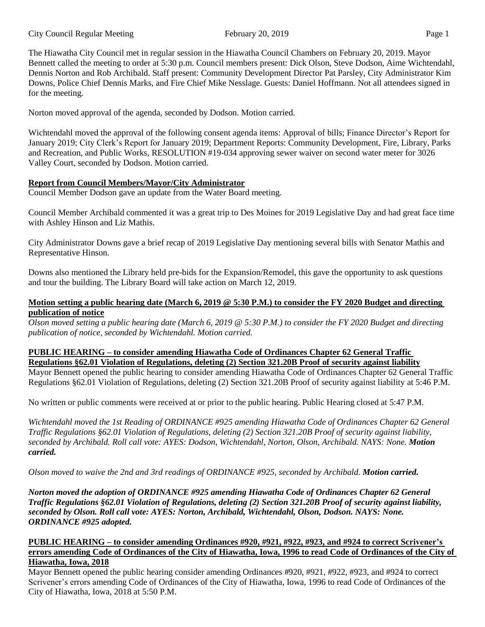#### City Council Regular Meeting February 20, 2019 Page 1

The Hiawatha City Council met in regular session in the Hiawatha Council Chambers on February 20, 2019. Mayor Bennett called the meeting to order at 5:30 p.m. Council members present: Dick Olson, Steve Dodson, Aime Wichtendahl, Dennis Norton and Rob Archibald. Staff present: Community Development Director Pat Parsley, City Administrator Kim Downs, Police Chief Dennis Marks, and Fire Chief Mike Nesslage. Guests: Daniel Hoffmann. Not all attendees signed in for the meeting.

Norton moved approval of the agenda, seconded by Dodson. Motion carried.

Wichtendahl moved the approval of the following consent agenda items: Approval of bills; Finance Director's Report for January 2019; City Clerk's Report for January 2019; Department Reports: Community Development, Fire, Library, Parks and Recreation, and Public Works, RESOLUTION #19-034 approving sewer waiver on second water meter for 3026 Valley Court, seconded by Dodson. Motion carried.

## **Report from Council Members/Mayor/City Administrator**

Council Member Dodson gave an update from the Water Board meeting.

Council Member Archibald commented it was a great trip to Des Moines for 2019 Legislative Day and had great face time with Ashley Hinson and Liz Mathis.

City Administrator Downs gave a brief recap of 2019 Legislative Day mentioning several bills with Senator Mathis and Representative Hinson.

Downs also mentioned the Library held pre-bids for the Expansion/Remodel, this gave the opportunity to ask questions and tour the building. The Library Board will take action on March 12, 2019.

### **Motion setting a public hearing date (March 6, 2019 @ 5:30 P.M.) to consider the FY 2020 Budget and directing publication of notice**

*Olson moved setting a public hearing date (March 6, 2019 @ 5:30 P.M.) to consider the FY 2020 Budget and directing publication of notice, seconded by Wichtendahl. Motion carried.* 

# **PUBLIC HEARING – to consider amending Hiawatha Code of Ordinances Chapter 62 General Traffic Regulations §62.01 Violation of Regulations, deleting (2) Section 321.20B Proof of security against liability**

Mayor Bennett opened the public hearing to consider amending Hiawatha Code of Ordinances Chapter 62 General Traffic Regulations §62.01 Violation of Regulations, deleting (2) Section 321.20B Proof of security against liability at 5:46 P.M.

No written or public comments were received at or prior to the public hearing. Public Hearing closed at 5:47 P.M.

*Wichtendahl moved the 1st Reading of ORDINANCE #925 amending Hiawatha Code of Ordinances Chapter 62 General Traffic Regulations §62.01 Violation of Regulations, deleting (2) Section 321.20B Proof of security against liability, seconded by Archibald. Roll call vote: AYES: Dodson, Wichtendahl, Norton, Olson, Archibald. NAYS: None. Motion carried.* 

*Olson moved to waive the 2nd and 3rd readings of ORDINANCE #925, seconded by Archibald. Motion carried.*

*Norton moved the adoption of ORDINANCE #925 amending Hiawatha Code of Ordinances Chapter 62 General Traffic Regulations §62.01 Violation of Regulations, deleting (2) Section 321.20B Proof of security against liability, seconded by Olson. Roll call vote: AYES: Norton, Archibald, Wichtendahl, Olson, Dodson. NAYS: None. ORDINANCE #925 adopted.* 

## **PUBLIC HEARING – to consider amending Ordinances #920, #921, #922, #923, and #924 to correct Scrivener's errors amending Code of Ordinances of the City of Hiawatha, Iowa, 1996 to read Code of Ordinances of the City of Hiawatha, Iowa, 2018**

Mayor Bennett opened the public hearing consider amending Ordinances #920, #921, #922, #923, and #924 to correct Scrivener's errors amending Code of Ordinances of the City of Hiawatha, Iowa, 1996 to read Code of Ordinances of the City of Hiawatha, Iowa, 2018 at 5:50 P.M.